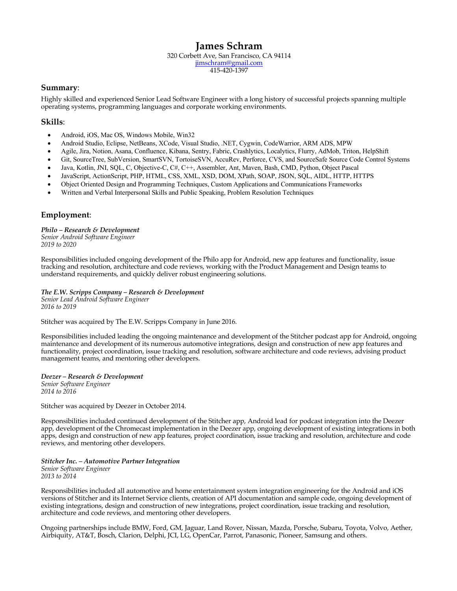# **James Schram**

320 Corbett Ave, San Francisco, CA 94114 jimschram@gmail.com 415-420-1397

### **Summary**:

Highly skilled and experienced Senior Lead Software Engineer with a long history of successful projects spanning multiple operating systems, programming languages and corporate working environments.

### **Skills**:

- Android, iOS, Mac OS, Windows Mobile, Win32
- Android Studio, Eclipse, NetBeans, XCode, Visual Studio, .NET, Cygwin, CodeWarrior, ARM ADS, MPW
- Agile, Jira, Notion, Asana, Confluence, Kibana, Sentry, Fabric, Crashlytics, Localytics, Flurry, AdMob, Triton, HelpShift
- Git, SourceTree, SubVersion, SmartSVN, TortoiseSVN, AccuRev, Perforce, CVS, and SourceSafe Source Code Control Systems
- Java, Kotlin, JNI, SQL, C, Objective-C, C#, C++, Assembler, Ant, Maven, Bash, CMD, Python, Object Pascal
- JavaScript, ActionScript, PHP, HTML, CSS, XML, XSD, DOM, XPath, SOAP, JSON, SQL, AIDL, HTTP, HTTPS
- Object Oriented Design and Programming Techniques, Custom Applications and Communications Frameworks
- Written and Verbal Interpersonal Skills and Public Speaking, Problem Resolution Techniques

# **Employment**:

*Philo – Research & Development Senior Android Software Engineer 2019 to 2020*

Responsibilities included ongoing development of the Philo app for Android, new app features and functionality, issue tracking and resolution, architecture and code reviews, working with the Product Management and Design teams to understand requirements, and quickly deliver robust engineering solutions.

*The E.W. Scripps Company – Research & Development Senior Lead Android Software Engineer 2016 to 2019*

Stitcher was acquired by The E.W. Scripps Company in June 2016.

Responsibilities included leading the ongoing maintenance and development of the Stitcher podcast app for Android, ongoing maintenance and development of its numerous automotive integrations, design and construction of new app features and functionality, project coordination, issue tracking and resolution, software architecture and code reviews, advising product management teams, and mentoring other developers.

*Deezer – Research & Development Senior Software Engineer 2014 to 2016*

Stitcher was acquired by Deezer in October 2014.

Responsibilities included continued development of the Stitcher app, Android lead for podcast integration into the Deezer app, development of the Chromecast implementation in the Deezer app, ongoing development of existing integrations in both apps, design and construction of new app features, project coordination, issue tracking and resolution, architecture and code reviews, and mentoring other developers.

*Stitcher Inc. – Automotive Partner Integration Senior Software Engineer 2013 to 2014*

Responsibilities included all automotive and home entertainment system integration engineering for the Android and iOS versions of Stitcher and its Internet Service clients, creation of API documentation and sample code, ongoing development of existing integrations, design and construction of new integrations, project coordination, issue tracking and resolution, architecture and code reviews, and mentoring other developers.

Ongoing partnerships include BMW, Ford, GM, Jaguar, Land Rover, Nissan, Mazda, Porsche, Subaru, Toyota, Volvo, Aether, Airbiquity, AT&T, Bosch, Clarion, Delphi, JCI, LG, OpenCar, Parrot, Panasonic, Pioneer, Samsung and others.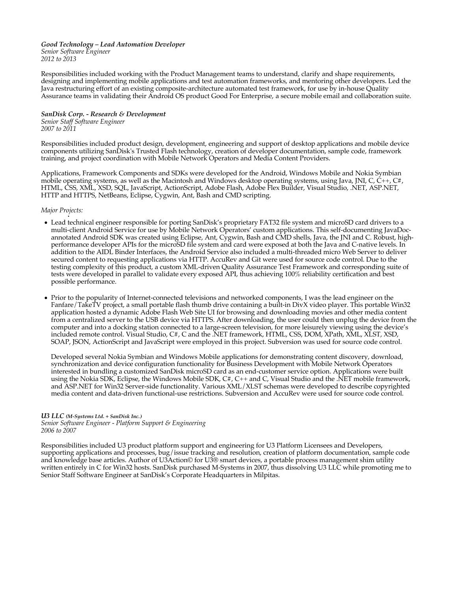#### *Good Technology – Lead Automation Developer Senior Software Engineer 2012 to 2013*

Responsibilities included working with the Product Management teams to understand, clarify and shape requirements, designing and implementing mobile applications and test automation frameworks, and mentoring other developers. Led the Java restructuring effort of an existing composite-architecture automated test framework, for use by in-house Quality Assurance teams in validating their Android OS product Good For Enterprise, a secure mobile email and collaboration suite.

*SanDisk Corp. - Research & Development Senior Staff Software Engineer 2007 to 2011*

Responsibilities included product design, development, engineering and support of desktop applications and mobile device components utilizing SanDisk's Trusted Flash technology, creation of developer documentation, sample code, framework training, and project coordination with Mobile Network Operators and Media Content Providers.

Applications, Framework Components and SDKs were developed for the Android, Windows Mobile and Nokia Symbian mobile operating systems, as well as the Macintosh and Windows desktop operating systems, using Java, JNI, C, C++, C#, HTML, CSS, XML, XSD, SQL, JavaScript, ActionScript, Adobe Flash, Adobe Flex Builder, Visual Studio, .NET, ASP.NET, HTTP and HTTPS, NetBeans, Eclipse, Cygwin, Ant, Bash and CMD scripting.

#### *Major Projects:*

•

- Lead technical engineer responsible for porting SanDisk's proprietary FAT32 file system and microSD card drivers to a multi-client Android Service for use by Mobile Network Operators' custom applications. This self-documenting JavaDocannotated Android SDK was created using Eclipse, Ant, Cygwin, Bash and CMD shells, Java, the JNI and C. Robust, highperformance developer APIs for the microSD file system and card were exposed at both the Java and C-native levels. In addition to the AIDL Binder Interfaces, the Android Service also included a multi-threaded micro Web Server to deliver secured content to requesting applications via HTTP. AccuRev and Git were used for source code control. Due to the testing complexity of this product, a custom XML-driven Quality Assurance Test Framework and corresponding suite of tests were developed in parallel to validate every exposed API, thus achieving 100% reliability certification and best possible performance.
- Prior to the popularity of Internet-connected televisions and networked components, I was the lead engineer on the Fanfare/TakeTV project, a small portable flash thumb drive containing a built-in DivX video player. This portable Win32 application hosted a dynamic Adobe Flash Web Site UI for browsing and downloading movies and other media content from a centralized server to the USB device via HTTPS. After downloading, the user could then unplug the device from the computer and into a docking station connected to a large-screen television, for more leisurely viewing using the device's included remote control. Visual Studio, C#, C and the .NET framework, HTML, CSS, DOM, XPath, XML, XLST, XSD, SOAP, JSON, ActionScript and JavaScript were employed in this project. Subversion was used for source code control.

Developed several Nokia Symbian and Windows Mobile applications for demonstrating content discovery, download, synchronization and device configuration functionality for Business Development with Mobile Network Operators interested in bundling a customized SanDisk microSD card as an end-customer service option. Applications were built using the Nokia SDK, Eclipse, the Windows Mobile SDK, C#, C++ and C, Visual Studio and the .NET mobile framework, and ASP.NET for Win32 Server-side functionality. Various XML/XLST schemas were developed to describe copyrighted media content and data-driven functional-use restrictions. Subversion and AccuRev were used for source code control.

#### *U3 LLC (M-Systems Ltd. + SanDisk Inc.)*

*Senior Software Engineer - Platform Support & Engineering 2006 to 2007*

Responsibilities included U3 product platform support and engineering for U3 Platform Licensees and Developers, supporting applications and processes, bug/issue tracking and resolution, creation of platform documentation, sample code and knowledge base articles. Author of U3Action© for U3® smart devices, a portable process management shim utility written entirely in C for Win32 hosts. SanDisk purchased M-Systems in 2007, thus dissolving U3 LLC while promoting me to Senior Staff Software Engineer at SanDisk's Corporate Headquarters in Milpitas.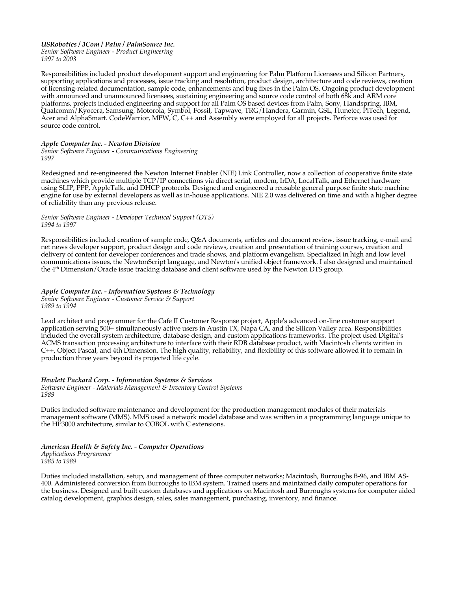#### *USRobotics / 3Com / Palm / PalmSource Inc. Senior Software Engineer - Product Engineering 1997 to 2003*

Responsibilities included product development support and engineering for Palm Platform Licensees and Silicon Partners, supporting applications and processes, issue tracking and resolution, product design, architecture and code reviews, creation of licensing-related documentation, sample code, enhancements and bug fixes in the Palm OS. Ongoing product development with announced and unannounced licensees, sustaining engineering and source code control of both 68k and ARM core platforms, projects included engineering and support for all Palm OS based devices from Palm, Sony, Handspring, IBM, Qualcomm/Kyocera, Samsung, Motorola, Symbol, Fossil, Tapwave, TRG/Handera, Garmin, GSL, Hunetec, PiTech, Legend, Acer and AlphaSmart. CodeWarrior, MPW, C, C++ and Assembly were employed for all projects. Perforce was used for source code control.

#### *Apple Computer Inc. - Newton Division*

*Senior Software Engineer - Communications Engineering 1997*

Redesigned and re-engineered the Newton Internet Enabler (NIE) Link Controller, now a collection of cooperative finite state machines which provide multiple TCP/IP connections via direct serial, modem, IrDA, LocalTalk, and Ethernet hardware using SLIP, PPP, AppleTalk, and DHCP protocols. Designed and engineered a reusable general purpose finite state machine engine for use by external developers as well as in-house applications. NIE 2.0 was delivered on time and with a higher degree of reliability than any previous release.

#### *Senior Software Engineer - Developer Technical Support (DTS) 1994 to 1997*

Responsibilities included creation of sample code, Q&A documents, articles and document review, issue tracking, e-mail and net news developer support, product design and code reviews, creation and presentation of training courses, creation and delivery of content for developer conferences and trade shows, and platform evangelism. Specialized in high and low level communications issues, the NewtonScript language, and Newton's unified object framework. I also designed and maintained the 4th Dimension/Oracle issue tracking database and client software used by the Newton DTS group.

#### *Apple Computer Inc. - Information Systems & Technology Senior Software Engineer - Customer Service & Support*

*1989 to 1994*

Lead architect and programmer for the Cafe II Customer Response project, Apple's advanced on-line customer support application serving 500+ simultaneously active users in Austin TX, Napa CA, and the Silicon Valley area. Responsibilities included the overall system architecture, database design, and custom applications frameworks. The project used Digital's ACMS transaction processing architecture to interface with their RDB database product, with Macintosh clients written in C++, Object Pascal, and 4th Dimension. The high quality, reliability, and flexibility of this software allowed it to remain in production three years beyond its projected life cycle.

# *Hewlett Packard Corp. - Information Systems & Services*

*Software Engineer - Materials Management & Inventory Control Systems 1989*

Duties included software maintenance and development for the production management modules of their materials management software (MMS). MMS used a network model database and was written in a programming language unique to the HP3000 architecture, similar to COBOL with C extensions.

*American Health & Safety Inc. - Computer Operations Applications Programmer 1985 to 1989*

Duties included installation, setup, and management of three computer networks; Macintosh, Burroughs B-96, and IBM AS-400. Administered conversion from Burroughs to IBM system. Trained users and maintained daily computer operations for the business. Designed and built custom databases and applications on Macintosh and Burroughs systems for computer aided catalog development, graphics design, sales, sales management, purchasing, inventory, and finance.